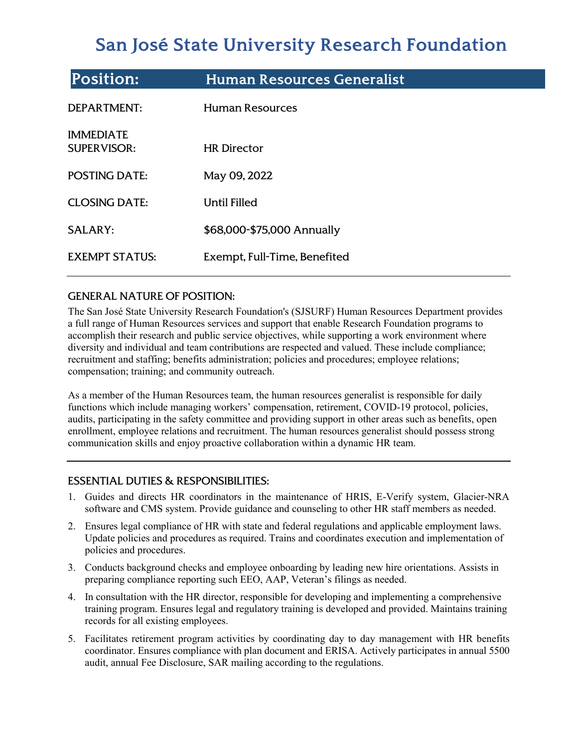# **San José State University Research Foundation**

| <b>Position:</b>                       | <b>Human Resources Generalist</b> |
|----------------------------------------|-----------------------------------|
| <b>DEPARTMENT:</b>                     | <b>Human Resources</b>            |
| <b>IMMEDIATE</b><br><b>SUPERVISOR:</b> | <b>HR Director</b>                |
| <b>POSTING DATE:</b>                   | May 09, 2022                      |
| <b>CLOSING DATE:</b>                   | Until Filled                      |
| <b>SALARY:</b>                         | \$68,000-\$75,000 Annually        |
| <b>EXEMPT STATUS:</b>                  | Exempt, Full-Time, Benefited      |

# GENERAL NATURE OF POSITION:

The San José State University Research Foundation's (SJSURF) Human Resources Department provides a full range of Human Resources services and support that enable Research Foundation programs to accomplish their research and public service objectives, while supporting a work environment where diversity and individual and team contributions are respected and valued. These include compliance; recruitment and staffing; benefits administration; policies and procedures; employee relations; compensation; training; and community outreach.

As a member of the Human Resources team, the human resources generalist is responsible for daily functions which include managing workers' compensation, retirement, COVID-19 protocol, policies, audits, participating in the safety committee and providing support in other areas such as benefits, open enrollment, employee relations and recruitment. The human resources generalist should possess strong communication skills and enjoy proactive collaboration within a dynamic HR team.

# ESSENTIAL DUTIES & RESPONSIBILITIES:

- 1. Guides and directs HR coordinators in the maintenance of HRIS, E-Verify system, Glacier-NRA software and CMS system. Provide guidance and counseling to other HR staff members as needed.
- 2. Ensures legal compliance of HR with state and federal regulations and applicable employment laws. Update policies and procedures as required. Trains and coordinates execution and implementation of policies and procedures.
- 3. Conducts background checks and employee onboarding by leading new hire orientations. Assists in preparing compliance reporting such EEO, AAP, Veteran's filings as needed.
- 4. In consultation with the HR director, responsible for developing and implementing a comprehensive training program. Ensures legal and regulatory training is developed and provided. Maintains training records for all existing employees.
- 5. Facilitates retirement program activities by coordinating day to day management with HR benefits coordinator. Ensures compliance with plan document and ERISA. Actively participates in annual 5500 audit, annual Fee Disclosure, SAR mailing according to the regulations.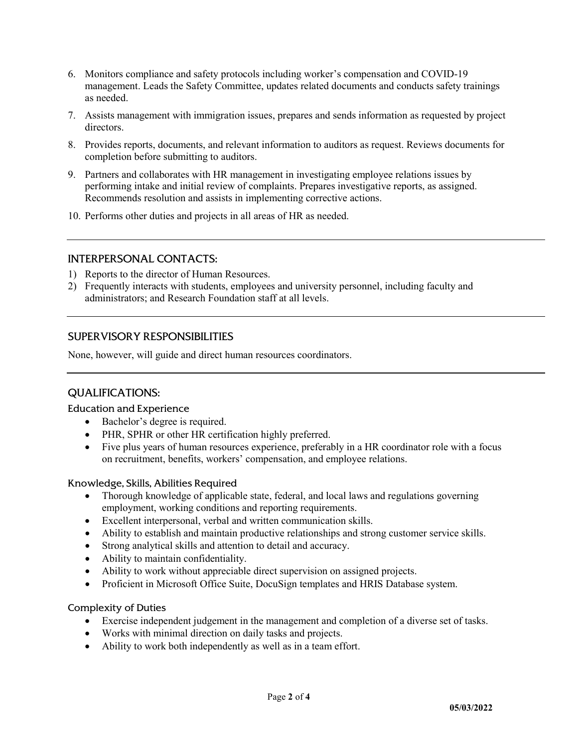- 6. Monitors compliance and safety protocols including worker's compensation and COVID-19 management. Leads the Safety Committee, updates related documents and conducts safety trainings as needed.
- 7. Assists management with immigration issues, prepares and sends information as requested by project directors.
- 8. Provides reports, documents, and relevant information to auditors as request. Reviews documents for completion before submitting to auditors.
- 9. Partners and collaborates with HR management in investigating employee relations issues by performing intake and initial review of complaints. Prepares investigative reports, as assigned. Recommends resolution and assists in implementing corrective actions.
- 10. Performs other duties and projects in all areas of HR as needed.

## INTERPERSONAL CONTACTS:

- 1) Reports to the director of Human Resources.
- 2) Frequently interacts with students, employees and university personnel, including faculty and administrators; and Research Foundation staff at all levels.

## SUPERVISORY RESPONSIBILITIES

None, however, will guide and direct human resources coordinators.

## QUALIFICATIONS:

#### Education and Experience

- Bachelor's degree is required.
- PHR, SPHR or other HR certification highly preferred.
- Five plus years of human resources experience, preferably in a HR coordinator role with a focus on recruitment, benefits, workers' compensation, and employee relations.

#### Knowledge, Skills, Abilities Required

- Thorough knowledge of applicable state, federal, and local laws and regulations governing employment, working conditions and reporting requirements.
- Excellent interpersonal, verbal and written communication skills.
- Ability to establish and maintain productive relationships and strong customer service skills.
- Strong analytical skills and attention to detail and accuracy.
- Ability to maintain confidentiality.
- Ability to work without appreciable direct supervision on assigned projects.
- Proficient in Microsoft Office Suite, DocuSign templates and HRIS Database system.

#### Complexity of Duties

- Exercise independent judgement in the management and completion of a diverse set of tasks.
- Works with minimal direction on daily tasks and projects.
- Ability to work both independently as well as in a team effort.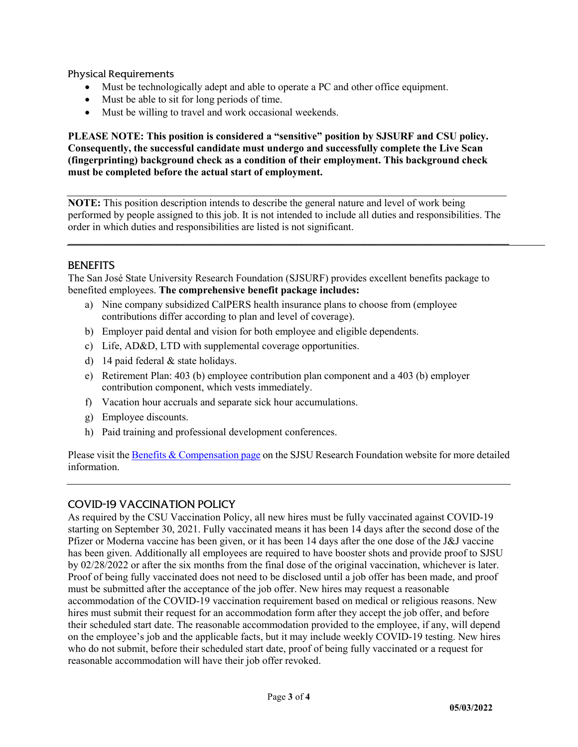Physical Requirements

- Must be technologically adept and able to operate a PC and other office equipment.
- Must be able to sit for long periods of time.
- Must be willing to travel and work occasional weekends.

**PLEASE NOTE: This position is considered a "sensitive" position by SJSURF and CSU policy. Consequently, the successful candidate must undergo and successfully complete the Live Scan (fingerprinting) background check as a condition of their employment. This background check must be completed before the actual start of employment.**

**NOTE:** This position description intends to describe the general nature and level of work being performed by people assigned to this job. It is not intended to include all duties and responsibilities. The order in which duties and responsibilities are listed is not significant.

**\_\_\_\_\_\_\_\_\_\_\_\_\_\_\_\_\_\_\_\_\_\_\_\_\_\_\_\_\_\_\_\_\_\_\_\_\_\_\_\_\_\_\_\_\_\_\_\_\_\_\_\_\_\_\_\_\_\_\_\_\_\_\_\_\_\_\_\_\_\_\_\_\_\_\_\_\_\_\_\_\_\_\_\_\_**

## **BENEFITS**

The San José State University Research Foundation (SJSURF) provides excellent benefits package to benefited employees. **The comprehensive benefit package includes:**

- a) Nine company subsidized CalPERS health insurance plans to choose from (employee contributions differ according to plan and level of coverage).
- b) Employer paid dental and vision for both employee and eligible dependents.
- c) Life, AD&D, LTD with supplemental coverage opportunities.
- d) 14 paid federal & state holidays.
- e) Retirement Plan: 403 (b) employee contribution plan component and a 403 (b) employer contribution component, which vests immediately.
- f) Vacation hour accruals and separate sick hour accumulations.
- g) Employee discounts.
- h) Paid training and professional development conferences.

Please visit th[e Benefits & Compensation page](https://www.sjsu.edu/researchfoundation/employees/benefits/index.php) on the SJSU Research Foundation website for more detailed information.

## COVID-19 VACCINATION POLICY

As required by the CSU Vaccination Policy, all new hires must be fully vaccinated against COVID-19 starting on September 30, 2021. Fully vaccinated means it has been 14 days after the second dose of the Pfizer or Moderna vaccine has been given, or it has been 14 days after the one dose of the J&J vaccine has been given. Additionally all employees are required to have booster shots and provide proof to SJSU by 02/28/2022 or after the six months from the final dose of the original vaccination, whichever is later. Proof of being fully vaccinated does not need to be disclosed until a job offer has been made, and proof must be submitted after the acceptance of the job offer. New hires may request a reasonable accommodation of the COVID-19 vaccination requirement based on medical or religious reasons. New hires must submit their request for an accommodation form after they accept the job offer, and before their scheduled start date. The reasonable accommodation provided to the employee, if any, will depend on the employee's job and the applicable facts, but it may include weekly COVID-19 testing. New hires who do not submit, before their scheduled start date, proof of being fully vaccinated or a request for reasonable accommodation will have their job offer revoked.